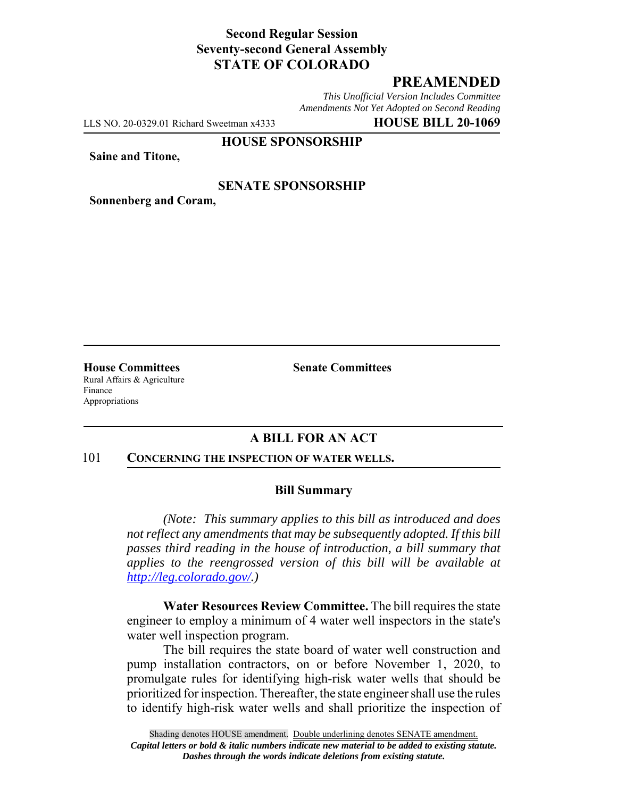## **Second Regular Session Seventy-second General Assembly STATE OF COLORADO**

# **PREAMENDED**

*This Unofficial Version Includes Committee Amendments Not Yet Adopted on Second Reading*

LLS NO. 20-0329.01 Richard Sweetman x4333 **HOUSE BILL 20-1069**

### **HOUSE SPONSORSHIP**

**Saine and Titone,**

### **SENATE SPONSORSHIP**

**Sonnenberg and Coram,**

Rural Affairs & Agriculture Finance Appropriations

**House Committees Senate Committees** 

## **A BILL FOR AN ACT**

#### 101 **CONCERNING THE INSPECTION OF WATER WELLS.**

#### **Bill Summary**

*(Note: This summary applies to this bill as introduced and does not reflect any amendments that may be subsequently adopted. If this bill passes third reading in the house of introduction, a bill summary that applies to the reengrossed version of this bill will be available at http://leg.colorado.gov/.)*

**Water Resources Review Committee.** The bill requires the state engineer to employ a minimum of 4 water well inspectors in the state's water well inspection program.

The bill requires the state board of water well construction and pump installation contractors, on or before November 1, 2020, to promulgate rules for identifying high-risk water wells that should be prioritized for inspection. Thereafter, the state engineer shall use the rules to identify high-risk water wells and shall prioritize the inspection of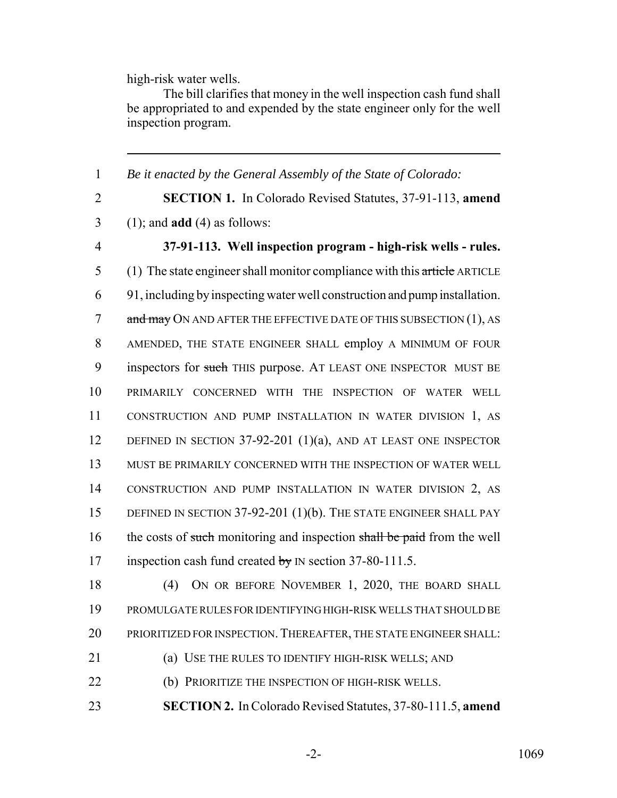high-risk water wells.

The bill clarifies that money in the well inspection cash fund shall be appropriated to and expended by the state engineer only for the well inspection program.

 *Be it enacted by the General Assembly of the State of Colorado:* **SECTION 1.** In Colorado Revised Statutes, 37-91-113, **amend** (1); and **add** (4) as follows: **37-91-113. Well inspection program - high-risk wells - rules.** 5 (1) The state engineer shall monitor compliance with this article ARTICLE 91, including by inspecting water well construction and pump installation. 7 and may ON AND AFTER THE EFFECTIVE DATE OF THIS SUBSECTION (1), AS AMENDED, THE STATE ENGINEER SHALL employ A MINIMUM OF FOUR 9 inspectors for such THIS purpose. AT LEAST ONE INSPECTOR MUST BE PRIMARILY CONCERNED WITH THE INSPECTION OF WATER WELL CONSTRUCTION AND PUMP INSTALLATION IN WATER DIVISION 1, AS 12 DEFINED IN SECTION 37-92-201 (1)(a), AND AT LEAST ONE INSPECTOR MUST BE PRIMARILY CONCERNED WITH THE INSPECTION OF WATER WELL CONSTRUCTION AND PUMP INSTALLATION IN WATER DIVISION 2, AS DEFINED IN SECTION 37-92-201 (1)(b). THE STATE ENGINEER SHALL PAY 16 the costs of such monitoring and inspection shall be paid from the well 17 inspection cash fund created by IN section 37-80-111.5. 18 (4) ON OR BEFORE NOVEMBER 1, 2020, THE BOARD SHALL

19 PROMULGATE RULES FOR IDENTIFYING HIGH-RISK WELLS THAT SHOULD BE 20 PRIORITIZED FOR INSPECTION. THEREAFTER, THE STATE ENGINEER SHALL:

21 (a) USE THE RULES TO IDENTIFY HIGH-RISK WELLS; AND

22 (b) PRIORITIZE THE INSPECTION OF HIGH-RISK WELLS.

23 **SECTION 2.** In Colorado Revised Statutes, 37-80-111.5, **amend**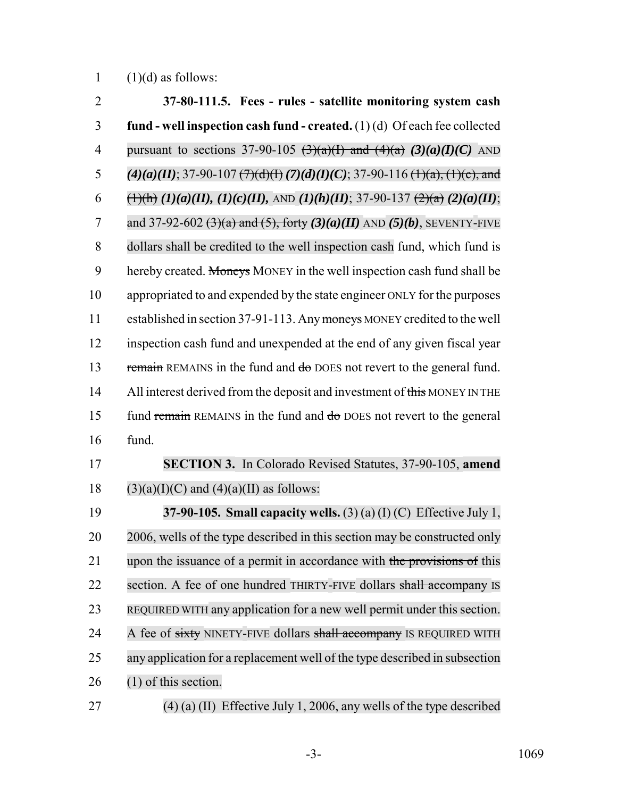1  $(1)(d)$  as follows:

| $\overline{2}$ | 37-80-111.5. Fees - rules - satellite monitoring system cash                                                |
|----------------|-------------------------------------------------------------------------------------------------------------|
| 3              | fund - well inspection cash fund - created. $(1)(d)$ Of each fee collected                                  |
| $\overline{4}$ | pursuant to sections 37-90-105 $(3)(a)(1)$ and $(4)(a)$ $(3)(a)(1)(C)$ AND                                  |
| 5              | $(4)(a)(II)$ ; 37-90-107 $(7)(d)(H)$ $(7)(d)(I)$ $(C)$ ; 37-90-116 $(H)(a)$ , $(H)(c)$ , and                |
| 6              | $\frac{1}{(1)(h)}$ $(1)(a)(II), (1)(c)(II),$ AND $(1)(h)(II)$ ; 37-90-137 $\frac{2}{(2)(a)}$ $(2)(a)(II)$ ; |
| $\overline{7}$ | and 37-92-602 $(3)(a)$ and $(5)$ , forty $(3)(a)(II)$ AND $(5)(b)$ , SEVENTY-FIVE                           |
| 8              | dollars shall be credited to the well inspection cash fund, which fund is                                   |
| 9              | hereby created. Moneys MONEY in the well inspection cash fund shall be                                      |
| 10             | appropriated to and expended by the state engineer ONLY for the purposes                                    |
| 11             | established in section 37-91-113. Any moneys MONEY credited to the well                                     |
| 12             | inspection cash fund and unexpended at the end of any given fiscal year                                     |
| 13             | remain REMAINS in the fund and do DOES not revert to the general fund.                                      |
| 14             | All interest derived from the deposit and investment of this MONEY IN THE                                   |
| 15             | fund remain REMAINS in the fund and do DOES not revert to the general                                       |
| 16             | fund.                                                                                                       |
| 17             | <b>SECTION 3.</b> In Colorado Revised Statutes, 37-90-105, amend                                            |
| 18             | $(3)(a)(I)(C)$ and $(4)(a)(II)$ as follows:                                                                 |
| 19             | 37-90-105. Small capacity wells. (3) (a) (I) (C) Effective July 1,                                          |
| 20             | 2006, wells of the type described in this section may be constructed only                                   |
| 21             | upon the issuance of a permit in accordance with the provisions of this                                     |
| 22             | section. A fee of one hundred THIRTY-FIVE dollars shall accompany IS                                        |
| 23             | REQUIRED WITH any application for a new well permit under this section.                                     |
| 24             | A fee of sixty NINETY-FIVE dollars shall accompany IS REQUIRED WITH                                         |
| 25             | any application for a replacement well of the type described in subsection                                  |
| 26             | $(1)$ of this section.                                                                                      |
| າາ             | $(4)$ (a) $(1)$ Effective July 1, 2006, enviyally of the time described                                     |

(4) (a) (II) Effective July 1, 2006, any wells of the type described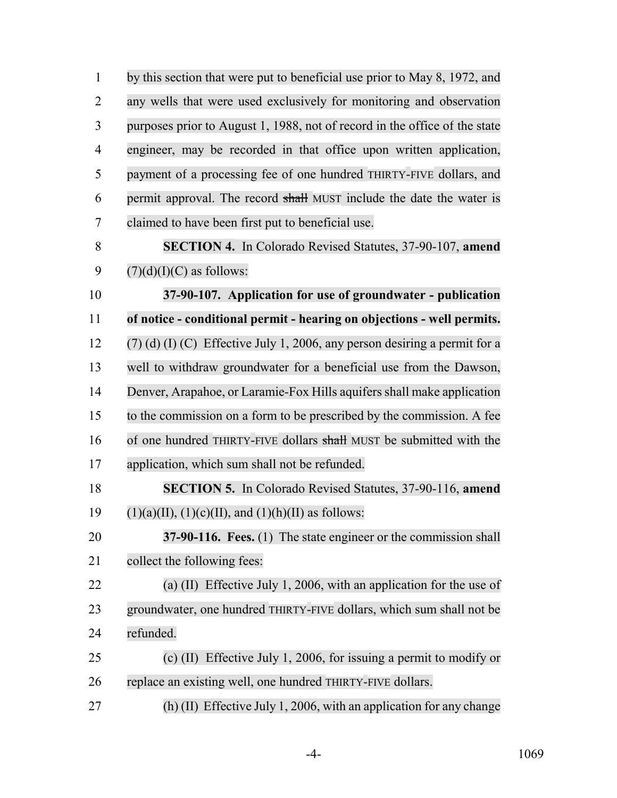by this section that were put to beneficial use prior to May 8, 1972, and any wells that were used exclusively for monitoring and observation purposes prior to August 1, 1988, not of record in the office of the state engineer, may be recorded in that office upon written application, payment of a processing fee of one hundred THIRTY-FIVE dollars, and permit approval. The record shall MUST include the date the water is claimed to have been first put to beneficial use. **SECTION 4.** In Colorado Revised Statutes, 37-90-107, **amend**  $(7)(d)(I)(C)$  as follows:

 **37-90-107. Application for use of groundwater - publication of notice - conditional permit - hearing on objections - well permits.** (7) (d) (I) (C) Effective July 1, 2006, any person desiring a permit for a well to withdraw groundwater for a beneficial use from the Dawson, 14 Denver, Arapahoe, or Laramie-Fox Hills aquifers shall make application to the commission on a form to be prescribed by the commission. A fee 16 of one hundred THIRTY-FIVE dollars shall MUST be submitted with the application, which sum shall not be refunded.

 **SECTION 5.** In Colorado Revised Statutes, 37-90-116, **amend** 19 (1)(a)(II), (1)(c)(II), and (1)(h)(II) as follows:

 **37-90-116. Fees.** (1) The state engineer or the commission shall collect the following fees:

 (a) (II) Effective July 1, 2006, with an application for the use of groundwater, one hundred THIRTY-FIVE dollars, which sum shall not be refunded.

 (c) (II) Effective July 1, 2006, for issuing a permit to modify or replace an existing well, one hundred THIRTY-FIVE dollars.

(h) (II) Effective July 1, 2006, with an application for any change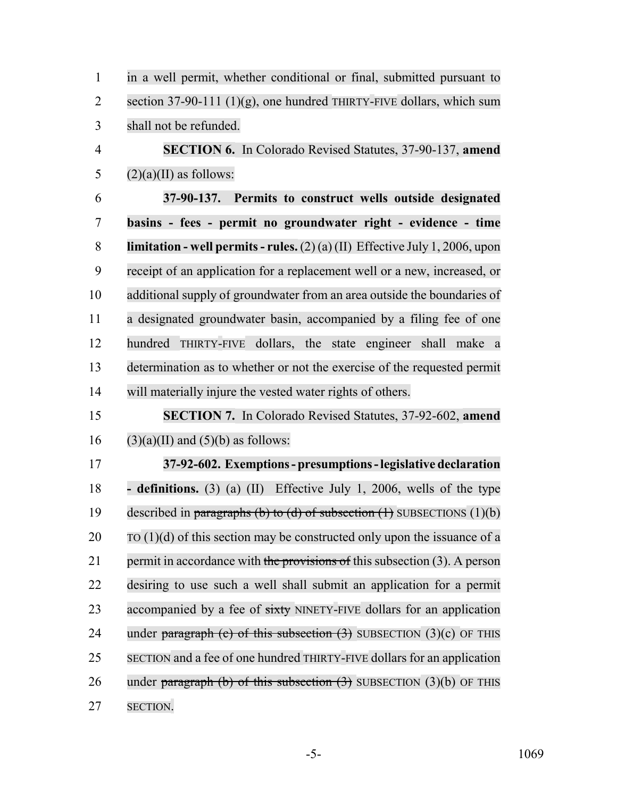| $\mathbf{1}$   | in a well permit, whether conditional or final, submitted pursuant to               |
|----------------|-------------------------------------------------------------------------------------|
| $\overline{2}$ | section 37-90-111 $(1)(g)$ , one hundred THIRTY-FIVE dollars, which sum             |
| 3              | shall not be refunded.                                                              |
| $\overline{4}$ | <b>SECTION 6.</b> In Colorado Revised Statutes, 37-90-137, amend                    |
| 5              | $(2)(a)(II)$ as follows:                                                            |
| 6              | 37-90-137. Permits to construct wells outside designated                            |
| $\tau$         | basins - fees - permit no groundwater right - evidence - time                       |
| 8              | <b>limitation - well permits - rules.</b> $(2)(a)(II)$ Effective July 1, 2006, upon |
| 9              | receipt of an application for a replacement well or a new, increased, or            |
| 10             | additional supply of groundwater from an area outside the boundaries of             |
| 11             | a designated groundwater basin, accompanied by a filing fee of one                  |
| 12             | hundred THIRTY-FIVE dollars, the state engineer shall make a                        |
| 13             | determination as to whether or not the exercise of the requested permit             |
| 14             | will materially injure the vested water rights of others.                           |
| 15             | <b>SECTION 7.</b> In Colorado Revised Statutes, 37-92-602, amend                    |
| 16             | $(3)(a)(II)$ and $(5)(b)$ as follows:                                               |
| 17             | 37-92-602. Exemptions - presumptions - legislative declaration                      |
| 18             | <b>- definitions.</b> (3) (a) (II) Effective July 1, 2006, wells of the type        |
| 19             | described in paragraphs (b) to (d) of subsection $(1)$ SUBSECTIONS $(1)(b)$         |
| 20             | TO $(1)(d)$ of this section may be constructed only upon the issuance of a          |
| 21             | permit in accordance with the provisions of this subsection (3). A person           |
| 22             | desiring to use such a well shall submit an application for a permit                |
| 23             | accompanied by a fee of sixty NINETY-FIVE dollars for an application                |
| 24             | under paragraph (c) of this subsection $(3)$ SUBSECTION $(3)(c)$ OF THIS            |
| 25             | SECTION and a fee of one hundred THIRTY-FIVE dollars for an application             |
| 26             | under paragraph (b) of this subsection $(3)$ SUBSECTION $(3)(b)$ OF THIS            |
| 27             | <b>SECTION.</b>                                                                     |